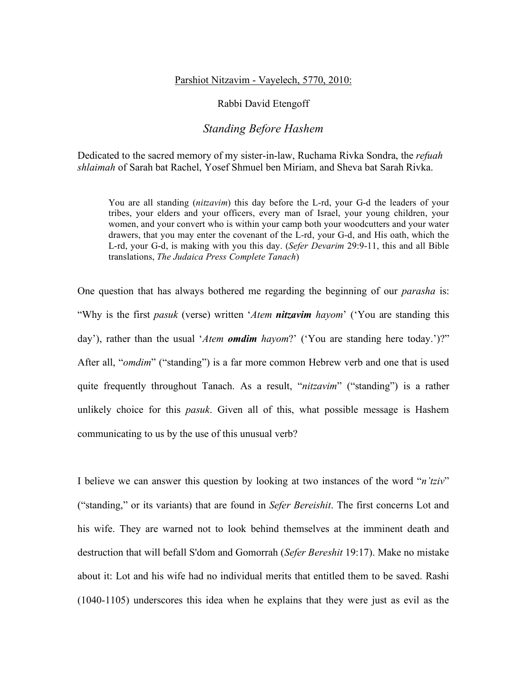## Parshiot Nitzavim - Vayelech, 5770, 2010:

## Rabbi David Etengoff

## *Standing Before Hashem*

Dedicated to the sacred memory of my sister-in-law, Ruchama Rivka Sondra, the *refuah shlaimah* of Sarah bat Rachel, Yosef Shmuel ben Miriam, and Sheva bat Sarah Rivka.

You are all standing (*nitzavim*) this day before the L-rd, your G-d the leaders of your tribes, your elders and your officers, every man of Israel, your young children, your women, and your convert who is within your camp both your woodcutters and your water drawers, that you may enter the covenant of the L-rd, your G-d, and His oath, which the L-rd, your G-d, is making with you this day. (*Sefer Devarim* 29:9-11, this and all Bible translations, *The Judaica Press Complete Tanach*)

One question that has always bothered me regarding the beginning of our *parasha* is: "Why is the first *pasuk* (verse) written '*Atem nitzavim hayom*' ('You are standing this day'), rather than the usual '*Atem omdim hayom*?' ('You are standing here today.')?" After all, "*omdim*" ("standing") is a far more common Hebrew verb and one that is used quite frequently throughout Tanach. As a result, "*nitzavim*" ("standing") is a rather unlikely choice for this *pasuk*. Given all of this, what possible message is Hashem communicating to us by the use of this unusual verb?

I believe we can answer this question by looking at two instances of the word "*n'tziv*" ("standing," or its variants) that are found in *Sefer Bereishit*. The first concerns Lot and his wife. They are warned not to look behind themselves at the imminent death and destruction that will befall S'dom and Gomorrah (*Sefer Bereshit* 19:17). Make no mistake about it: Lot and his wife had no individual merits that entitled them to be saved. Rashi (1040-1105) underscores this idea when he explains that they were just as evil as the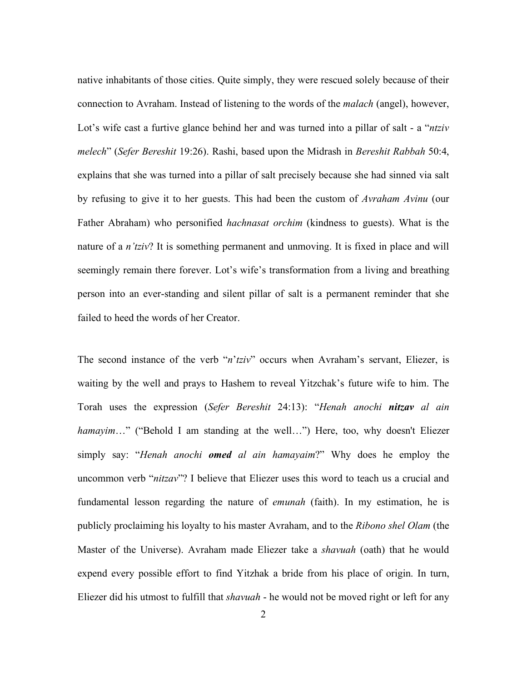native inhabitants of those cities. Quite simply, they were rescued solely because of their connection to Avraham. Instead of listening to the words of the *malach* (angel), however, Lot's wife cast a furtive glance behind her and was turned into a pillar of salt - a "*ntziv melech*" (*Sefer Bereshit* 19:26). Rashi, based upon the Midrash in *Bereshit Rabbah* 50:4, explains that she was turned into a pillar of salt precisely because she had sinned via salt by refusing to give it to her guests. This had been the custom of *Avraham Avinu* (our Father Abraham) who personified *hachnasat orchim* (kindness to guests). What is the nature of a *n'tziv*? It is something permanent and unmoving. It is fixed in place and will seemingly remain there forever. Lot's wife's transformation from a living and breathing person into an ever-standing and silent pillar of salt is a permanent reminder that she failed to heed the words of her Creator.

The second instance of the verb "*n*'*tziv*" occurs when Avraham's servant, Eliezer, is waiting by the well and prays to Hashem to reveal Yitzchak's future wife to him. The Torah uses the expression (*Sefer Bereshit* 24:13): "*Henah anochi nitzav al ain hamayim*…" ("Behold I am standing at the well...") Here, too, why doesn't Eliezer simply say: "*Henah anochi omed al ain hamayaim*?" Why does he employ the uncommon verb "*nitzav*"? I believe that Eliezer uses this word to teach us a crucial and fundamental lesson regarding the nature of *emunah* (faith). In my estimation, he is publicly proclaiming his loyalty to his master Avraham, and to the *Ribono shel Olam* (the Master of the Universe). Avraham made Eliezer take a *shavuah* (oath) that he would expend every possible effort to find Yitzhak a bride from his place of origin. In turn, Eliezer did his utmost to fulfill that *shavuah* - he would not be moved right or left for any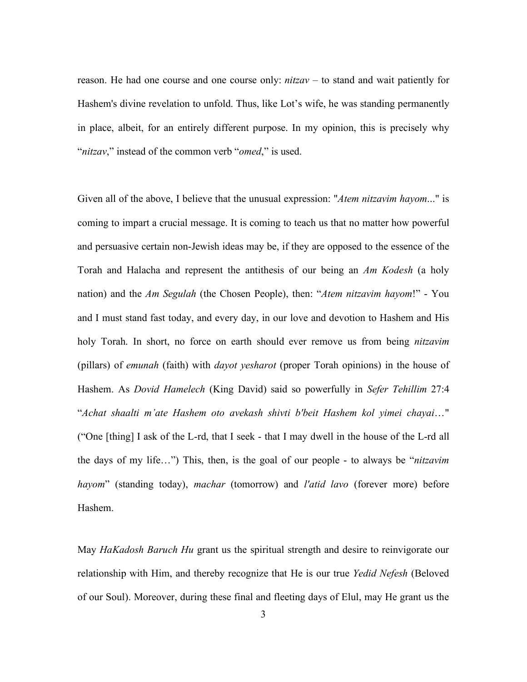reason. He had one course and one course only: *nitzav* – to stand and wait patiently for Hashem's divine revelation to unfold. Thus, like Lot's wife, he was standing permanently in place, albeit, for an entirely different purpose. In my opinion, this is precisely why "*nitzav*," instead of the common verb "*omed*," is used.

Given all of the above, I believe that the unusual expression: "*Atem nitzavim hayom*..." is coming to impart a crucial message. It is coming to teach us that no matter how powerful and persuasive certain non-Jewish ideas may be, if they are opposed to the essence of the Torah and Halacha and represent the antithesis of our being an *Am Kodesh* (a holy nation) and the *Am Segulah* (the Chosen People), then: "*Atem nitzavim hayom*!" - You and I must stand fast today, and every day, in our love and devotion to Hashem and His holy Torah. In short, no force on earth should ever remove us from being *nitzavim* (pillars) of *emunah* (faith) with *dayot yesharot* (proper Torah opinions) in the house of Hashem. As *Dovid Hamelech* (King David) said so powerfully in *Sefer Tehillim* 27:4 "*Achat shaalti m'ate Hashem oto avekash shivti b'beit Hashem kol yimei chayai*…" ("One [thing] I ask of the L-rd, that I seek - that I may dwell in the house of the L-rd all the days of my life…") This, then, is the goal of our people - to always be "*nitzavim hayom*" (standing today), *machar* (tomorrow) and *l'atid lavo* (forever more) before Hashem.

May *HaKadosh Baruch Hu* grant us the spiritual strength and desire to reinvigorate our relationship with Him, and thereby recognize that He is our true *Yedid Nefesh* (Beloved of our Soul). Moreover, during these final and fleeting days of Elul, may He grant us the